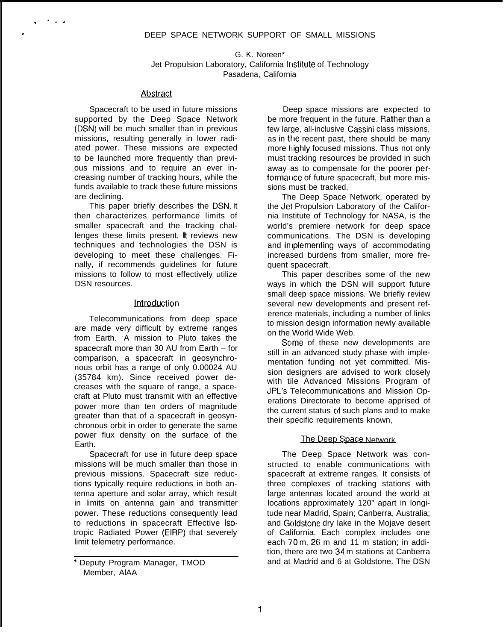G. K. Noreen\* Jet Propulsion Laboratory, California Institute of Technology Pasadena, California

### Abstract

. . . .

Spacecraft to be used in future missions supported by the Deep Space Network (DSN) will be much smaller than in previous missions, resulting generally in lower radiated power. These missions are expected to be launched more frequently than previous missions and to require an ever increasing number of tracking hours, while the funds available to track these future missions are declining.

This paper briefly describes the DSN. It then characterizes performance limits of smaller spacecraft and the tracking challenges these limits present, it reviews new techniques and technologies the DSN is developing to meet these challenges. Finally, if recommends guidelines for future missions to follow to most effectively utilize DSN resources.

# **Introduction**

Telecommunications from deep space are made very difficult by extreme ranges from Earth. <sup>'</sup>A mission to Pluto takes the spacecraft more than 30 AU from Earth – for comparison, a spacecraft in geosynchronous orbit has a range of only 0.00024 AU (35784 km). Since received power decreases with the square of range, a spacecraft at Pluto must transmit with an effective power more than ten orders of magnitude greater than that of a spacecraft in geosynchronous orbit in order to generate the same power flux density on the surface of the Earth.

Spacecraft for use in future deep space missions will be much smaller than those in previous missions. Spacecraft size reductions typically require reductions in both antenna aperture and solar array, which result in limits on antenna gain and transmitter power. These reductions consequently lead to reductions in spacecraft Effective isotropic Radiated Power (EIRP) that severely limit telemetry performance.

Deep space missions are expected to be more frequent in the future. Rather than a few large, all-inclusive Cassini class missions, as in the recent past, there should be many more highly focused missions. Thus not only must tracking resources be provided in such away as to compensate for the poorer performarice of future spacecraft, but more missions must be tracked.

The Deep Space Network, operated by the Jei Propulsion Laboratory of the California Institute of Technology for NASA, is the world's premiere network for deep space communications. The DSN is developing and in plementing ways of accommodating increased burdens from smaller, more frequent spacecraft.

This paper describes some of the new ways in which the DSN will support future small deep space missions. We briefly review several new developments and present reference materials, including a number of links to mission design information newly available on the World Wide Web.

Some of these new developments are still in an advanced study phase with implementation funding not yet committed. Mission designers are advised to work closely with tile Advanced Missions Program of JPL's Telecommunications and Mission Operations Directorate to become apprised of the current status of such plans and to make their specific requirements known,

# The Deep Space Network

The Deep Space Network was constructed to enable communications with spacecraft at extreme ranges. It consists of three complexes of tracking stations with large antennas located around the world at locations approximately 120" apart in longitude near Madrid, Spain; Canberra, Australia; and Goldstone dry lake in the Mojave desert of California. Each complex includes one each 70 m, 26 m and 11 m station; in addition, there are two 34 m stations at Canberra and at Madrid and 6 at Goldstone. The DSN

<sup>&#</sup>x27; Deputy Program Manager, TMOD Member, AlAA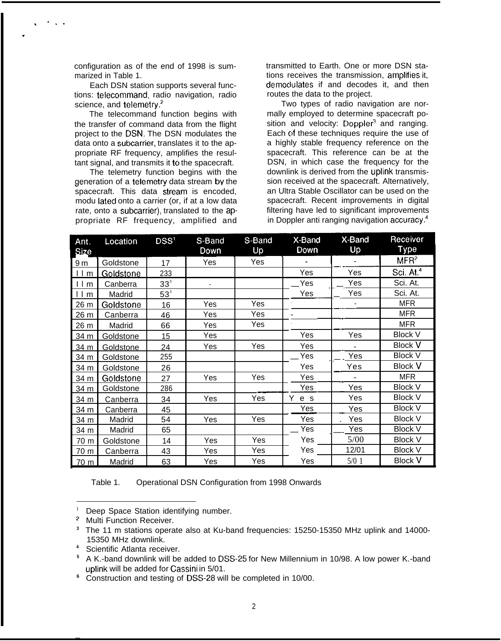configuration as of the end of 1998 is summarized in Table 1.

. . . .

.

Each DSN station supports several functions: telecommand, radio navigation, radio science, and telemetry.<sup>2</sup>

The telecommand function begins with the transfer of command data from the flight project to the DSN. The DSN modulates the data onto a subcarrier, translates it to the appropriate RF frequency, amplifies the resultant signal, and transmits it to the spacecraft.

The telemetry function begins with the generation of a telemetry data stream by the sion received at the spacecraft. Alternatively, spacecraft. This data stream is encoded, an Ultra Stable Oscillator can be used on the modulated onto a carrier (or if at a low data spacecraft. Recent improvements in digital modu lated onto a carrier (or, if at a low data spacecraft. Recent improvements in digital<br>rate, onto a subcarrier), translated to the ap-<br>filtering have led to significant improvements rate, onto a subcarrier), translated to the ap-<br>
propriate RF frequency, amplified and in Doppler anti ranging navigation accuracy.<sup>4</sup> propriate RF frequency, amplified and

transmitted to Earth. One or more DSN stations receives the transmission, amplifies it, demociulates if and decodes it, and then routes the data to the project.

Two types of radio navigation are normally employed to determine spacecraft position and velocity: Doppler<sup>3</sup> and ranging. Each of these techniques require the use of a highly stable frequency reference on the spacecraft. This reference can be at the DSN, in which case the frequency for the downlink is derived from the uplink transmis-<br>sion received at the spacecraft. Alternatively,

| Ant.<br><b>Size</b> | Location         | DSS <sup>1</sup> | S-Band<br>Down | S-Band<br>Up | X-Band<br>Down | X-Band<br>Up | Receiver<br>Type      |
|---------------------|------------------|------------------|----------------|--------------|----------------|--------------|-----------------------|
| 9 <sub>m</sub>      | Goldstone        | 17               | Yes            | Yes          |                |              | MFR <sup>2</sup>      |
| $1 \underline{m}$   | Goldstone        | 233              |                |              | Yes            | Yes          | Sci. At. <sup>4</sup> |
| $l \, l \, m$       | Canberra         | 33 <sup>3</sup>  |                |              | Yes            | Yes          | Sci. At.              |
| m                   | Madrid           | $53^{\circ}$     |                |              | Yes            | Yes          | Sci. At.              |
| 26 m                | Goldstone        | 16               | Yes            | Yes          |                |              | <b>MFR</b>            |
| 26 m                | Canberra         | 46               | Yes            | Yes          |                |              | <b>MFR</b>            |
| 26 m                | Madrid           | 66               | Yes            | Yes          |                |              | MFR                   |
| 34 m                | <b>Goldstone</b> | 15               | Yes            |              | Yes            | Yes          | <b>Block V</b>        |
| 34 m                | Goldstone        | 24               | Yes            | Yes          | Yes            |              | <b>Block V</b>        |
| 34 m                | Goldstone        | 255              |                |              | Yes            | Yes          | <b>Block V</b>        |
| 34 m                | Goldstone        | 26               |                |              | Yes            | Yes          | <b>Block V</b>        |
| 34 m                | Goldstone        | 27               | Yes            | Yes          | Yes            |              | <b>MFR</b>            |
| 34 m                | Goldstone        | 286              |                |              | Yes            | Yes          | <b>Block V</b>        |
| 34 m                | Canberra         | 34               | Yes            | Yes          | Y<br>e s       | Yes          | <b>Block V</b>        |
| 34 m                | Canberra         | 45               |                |              | Yes            | Yes          | <b>Block V</b>        |
| 34 m                | Madrid           | 54               | Yes            | Yes          | Yes            | Yes          | <b>Block V</b>        |
| 34 m                | Madrid           | 65               |                |              | Yes            | Yes          | <b>Block V</b>        |
| 70 m                | Goldstone        | 14               | Yes            | Yes          | Yes            | 5/00         | <b>Block V</b>        |
| 70 m                | Canberra         | 43               | Yes            | Yes          | Yes            | 12/01        | <b>Block V</b>        |
| 70 m                | Madrid           | 63               | Yes            | Yes          | Yes            | $5/0$ 1      | <b>Block V</b>        |

Table 1. Operational DSN Configuration from 1998 Onwards

**4** Scientific Atlanta receiver.

**—**

**<sup>1</sup>** Deep Space Station identifying number.

**<sup>2</sup>** Multi Function Receiver.

**<sup>3</sup>** The 11 m stations operate also at Ku-band frequencies: 15250-15350 MHz uplink and 14000- 15350 MHz downlink.

**<sup>5</sup>** A K.-band downlink will be added to DSS-25 for New Millennium in 10/98. A low power K.-band uplink will be added for Cassini in 5/01.

**<sup>6</sup>** Construction and testing of DSS-28 will be completed in 10/00.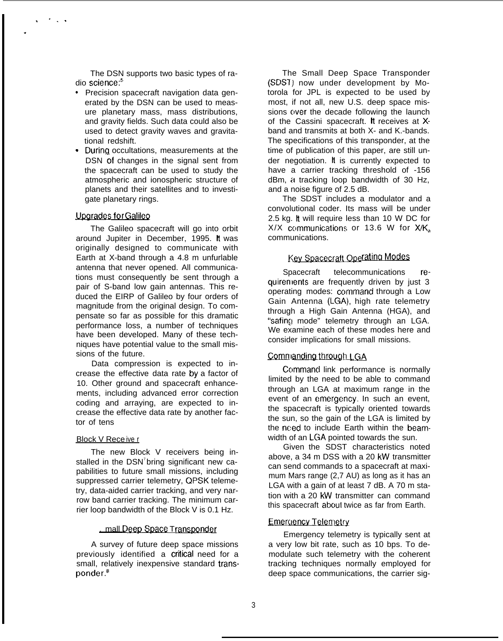The DSN supports two basic types of radio science:<sup>5</sup>

- . Precision spacecraft navigation data generated by the DSN can be used to measure planetary mass, mass distributions, and gravity fields. Such data could also be used to detect gravity waves and gravitational redshift.
- . During occultations, measurements at the DSN of changes in the signal sent from the spacecraft can be used to study the atmospheric and ionospheric structure of planets and their satellites and to investigate planetary rings.

### Upgrades for Galileo

. . . .

.

The Galileo spacecraft will go into orbit around Jupiter in December, 1995. It was originally designed to communicate with Earth at X-band through a 4.8 m unfurlable antenna that never opened. All communications must consequently be sent through a pair of S-band low gain antennas. This reduced the EIRP of Galileo by four orders of magnitude from the original design. To compensate so far as possible for this dramatic performance loss, a number of techniques have been developed. Many of these techniques have potential value to the small missions of the future.

Data compression is expected to increase the effective data rate by a factor of 10. Other ground and spacecraft enhancements, including advanced error correction coding and arraying, are expected to increase the effective data rate by another factor of tens

# **Block V Receive r**

The new Block V receivers being installed in the DSN<sup>7</sup> bring significant new capabilities to future small missions, including suppressed carrier telemetry, QPSK telemetry, data-aided carrier tracking, and very narrow band carrier tracking. The minimum carrier loop bandwidth of the Block V is 0.1 Hz.

# . mall Deep Space Transponder

A survey of future deep space missions previously identified a critical need for a small, relatively inexpensive standard transponder.8

The Small Deep Space Transponder (SDS7) now under development by Motorola for JPL is expected to be used by most, if not all, new U.S. deep space missions over the decade following the launch of the Cassini spacecraft. It receives at Xband and transmits at both X- and K.-bands. The specifications of this transponder, at the time of publication of this paper, are still under negotiation. It is currently expected to have a carrier tracking threshold of -156 dBm, a tracking loop bandwidth of 30 Hz, and a noise figure of 2.5 dB.

The SDST includes a modulator and a convolutional coder. Its mass will be under 2.5 kg. tt will require less than 10 W DC for  $X/X$  communications or 13.6 W for  $X/K<sub>a</sub>$ . communications.

# Key Spacecraft Operating Modes

Spacecraft telecommunications requirenlents are frequently driven by just 3 operating modes: command through a Low Gain Antenna (LGA), high rate telemetry through a High Gain Antenna (HGA), and "safing mode" telemetry through an LGA. We examine each of these modes here and consider implications for small missions.

# Commanding through LGA

Command link performance is normally limited by the need to be able to command through an LGA at maximum range in the event of an emergency. In such an event, the spacecraft is typically oriented towards the sun, so the gain of the LGA is limited by the need to include Earth within the beamwidth of an LGA pointed towards the sun.

Given the SDST characteristics noted above, a 34 m DSS with a 20 kW transmitter can send commands to a spacecraft at maximum Mars range (2,7 AU) as long as it has an LGA with a gain of at least 7 dB. A 70 m station with a 20 kW transmitter can command this spacecraft about twice as far from Earth.

# Emergency Telemetry

Emergency telemetry is typically sent at a very low bit rate, such as 10 bps. To demodulate such telemetry with the coherent tracking techniques normally employed for deep space communications, the carrier sig-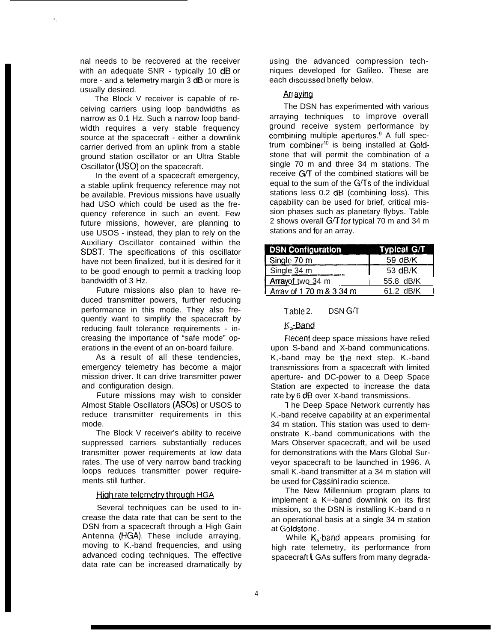nal needs to be recovered at the receiver with an adequate SNR - typically 10 dB or more - and a telemetry margin 3 dB or more is usually desired.

**".**

The Block V receiver is capable of receiving carriers using loop bandwidths as narrow as 0.1 Hz. Such a narrow loop bandwidth requires a very stable frequency source at the spacecraft - either a downlink carrier derived from an uplink from a stable ground station oscillator or an Ultra Stable Oscillator (USO) on the spacecraft.

In the event of a spacecraft emergency, a stable uplink frequency reference may not be available. Previous missions have usually had USO which could be used as the frequency reference in such an event. Few future missions, however, are planning to use USOS - instead, they plan to rely on the Auxiliary Oscillator contained within the SDST. The specifications of this oscillator have not been finalized, but it is desired for it to be good enough to permit a tracking loop bandwidth of 3 Hz.

Future missions also plan to have reduced transmitter powers, further reducing performance in this mode. They also frequently want to simplify the spacecraft by reducing fault tolerance requirements - increasing the importance of "safe mode" operations in the event of an on-board failure.

As a result of all these tendencies, emergency telemetry has become a major mission driver. It can drive transmitter power and configuration design.

Future missions may wish to consider Almost Stable Oscillators (ASOS) or USOS to reduce transmitter requirements in this mode.

The Block V receiver's ability to receive suppressed carriers substantially reduces transmitter power requirements at low data rates. The use of very narrow band tracking loops reduces transmitter power requirements still further.

#### High rate telemetry through HGA

Several techniques can be used to increase the data rate that can be sent to the DSN from a spacecraft through a High Gain Antenna (HGA). These include arraying, moving to K.-band frequencies, and using advanced coding techniques. The effective data rate can be increased dramatically by using the advanced compression techniques developed for Galileo. These are each discussed briefly below.

# Ari aying

The DSN has experimented with various arraying techniques to improve overall ground receive system performance by combining multiple apertures.<sup>9</sup> A full spectrum combiner<sup>10</sup> is being installed at Goldstone that will permit the combination of a single 70 m and three 34 m stations. The receive CYT of the combined stations will be equal to the sum of the CYTs of the individual stations less 0.2 dB (combining loss). This capability can be used for brief, critical mission phases such as planetary flybys. Table 2 shows overall  $G/T$  for typical 70 m and 34 m stations and for an array.

| <b>DSN Configuration</b>   | Typical G/T |
|----------------------------|-------------|
| Single 70 m                | 59 dB/K     |
| Single 34 m                | 53 $dB/K$   |
| Arrayof two 34 m           | 55.8 dB/K   |
| 1 Array of 1 70 m & 3 34 m | $61.2$ dB/K |

### Table 2. DSN G/T

### K-Band

Fiecent deep space missions have relied upon S-band and X-band communications. K,-band may be the next step. K.-band transmissions from a spacecraft with limited aperture- and DC-power to a Deep Space Station are expected to increase the data rate by 6 dB over X-band transmissions.

I he Deep Space Network currently has K.-band receive capability at an experimental 34 m station. This station was used to demonstrate K.-band communications with the Mars Observer spacecraft, and will be used for demonstrations with the Mars Global Surveyor spacecraft to be launched in 1996. A small K.-band transmitter at a 34 m station will be used for Cassini radio science.

The New Millennium program plans to implement a K=-band downlink on its first mission, so the DSN is installing K.-band o n an operational basis at a single 34 m station at Goldstone.

While  $K_a$ -band appears promising for high rate telemetry, its performance from spacecraft L GAs suffers from many degrada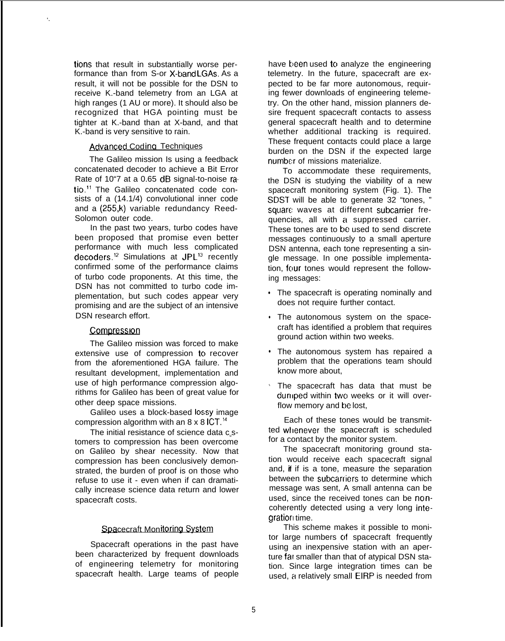tions that result in substantially worse performance than from S-or X-band LGAs. As a result, it will not be possible for the DSN to receive K.-band telemetry from an LGA at high ranges (1 AU or more). It should also be recognized that HGA pointing must be tighter at K.-band than at X-band, and that K.-band is very sensitive to rain.

# Advanced Codina Techniques

**'.**

The Galileo mission Is using a feedback concatenated decoder to achieve a Bit Error Rate of 10"7 at a 0.65 dB signal-to-noise ratio.<sup>11</sup> The Galileo concatenated code consists of a (14.1/4) convolutional inner code and a (255,k) variable redundancy Reed-Solomon outer code.

In the past two years, turbo codes have been proposed that promise even better performance with much less complicated decoders.12 Simulations at JPL13 recently confirmed some of the performance claims of turbo code proponents. At this time, the DSN has not committed to turbo code implementation, but such codes appear very promising and are the subject of an intensive DSN research effort.

### Compression

The Galileo mission was forced to make extensive use of compression to recover from the aforementioned HGA failure. The resultant development, implementation and use of high performance compression algorithms for Galileo has been of great value for other deep space missions.

Galileo uses a block-based Iossy image compression algorithm with an  $8 \times 8$  ICT.<sup>14</sup>

The initial resistance of science data c.stomers to compression has been overcome on Galileo by shear necessity. Now that compression has been conclusively demonstrated, the burden of proof is on those who refuse to use it - even when if can dramatically increase science data return and lower spacecraft costs.

# Spacecraft Monitoring System

Spacecraft operations in the past have been characterized by frequent downloads of engineering telemetry for monitoring spacecraft health. Large teams of people have been used to analyze the engineering telemetry. In the future, spacecraft are expected to be far more autonomous, requiring fewer downloads of engineering telemetry. On the other hand, mission planners desire frequent spacecraft contacts to assess general spacecraft health and to determine whether additional tracking is required. These frequent contacts could place a large burden on the DSN if the expected large number of missions materialize.

To accommodate these requirements, the DSN is studying the viability of a new spacecraft monitoring system (Fig. 1). The SDST will be able to generate 32 "tones, " square waves at different subcarrier frequencies, all with a suppressed carrier. These tones are to be used to send discrete messages continuously to a small aperture DSN antenna, each tone representing a single message. In one possible implementation, four tones would represent the following messages:

- The spacecraft is operating nominally and does not require further contact.
- The autonomous system on the spacecraft has identified a problem that requires ground action within two weeks.
- The autonomous system has repaired a problem that the operations team should know more about,
- ✎ The spacecraft has data that must be duniped within two weeks or it will overflow memory and be lost,

Each of these tones would be transmitted wtlenever the spacecraft is scheduled for a contact by the monitor system.

The spacecraft monitoring ground station would receive each spacecraft signal and, if if is a tone, measure the separation between the subcarriers to determine which message was sent, A small antenna can be used, since the received tones can be noncoherently detected using a very long integration time.

This scheme makes it possible to monitor large numbers of spacecraft frequently using an inexpensive station with an aperture far smaller than that of atypical DSN station. Since large integration times can be used, a relatively small EIRP is needed from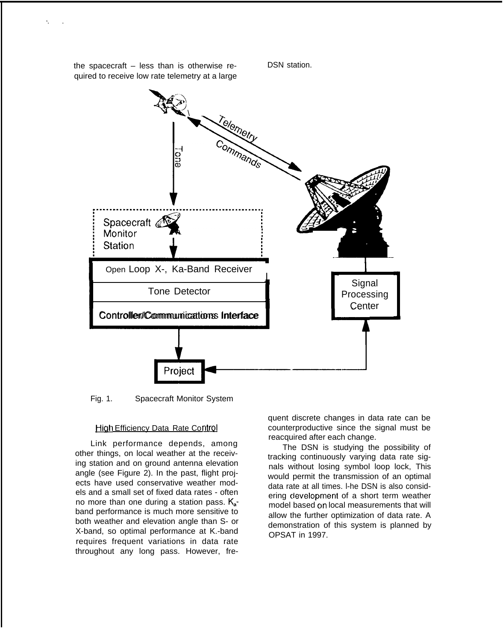

Fig. 1. Spacecraft Monitor System

#### High Efficiency Data Rate Control

Link performance depends, among other things, on local weather at the receiving station and on ground antenna elevation angle (see Figure 2). In the past, flight projects have used conservative weather models and a small set of fixed data rates - often no more than one during a station pass.  $K_{a}$ band performance is much more sensitive to both weather and elevation angle than S- or X-band, so optimal performance at K.-band requires frequent variations in data rate throughout any long pass. However, fre-

quent discrete changes in data rate can be counterproductive since the signal must be reacquired after each change.

The DSN is studying the possibility of tracking continuously varying data rate signals without losing symbol loop lock, This would permit the transmission of an optimal data rate at all times. l-he DSN is also considering cievelopment of a short term weather model based on local measurements that will allow the further optimization of data rate. A demonstration of this system is planned by OPSAT in 1997.

the spacecraft – less than is otherwise required to receive low rate telemetry at a large

**'. .**

DSN station.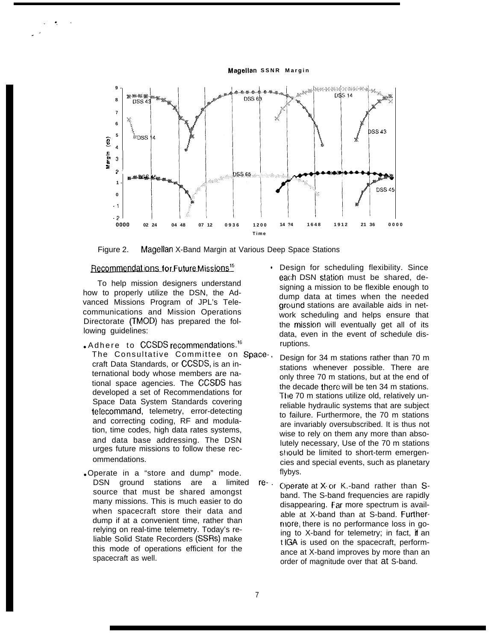**Magellan SSNR Margin** 



Figure 2. Magellan X-Band Margin at Various Deep Space Stations

# Recommendations for Future Missions<sup>15</sup>

To help mission designers understand how to properly utilize the DSN, the Advanced Missions Program of JPL's Telecommunications and Mission Operations Directorate (TMOD) has prepared the following guidelines:

- . Adhere to CCSDS recommendations.<sup>16</sup> The Consultative Committee on Space-, craft Data Standards, or CCSDS, is an international body whose members are national space agencies. The CCSDS has developed a set of Recommendations for Space Data System Standards covering telecommand, telemetry, error-detecting and correcting coding, RF and modulation, time codes, high data rates systems, and data base addressing. The DSN urges future missions to follow these recommendations.
- Operate in a "store and dump" mode. DSN ground stations are a limited re-. source that must be shared amongst many missions. This is much easier to do when spacecraft store their data and dump if at a convenient time, rather than relying on real-time telemetry. Today's reliable Solid State Recorders (SSRS) make this mode of operations efficient for the spacecraft as well.
- Design for scheduling flexibility. Since each DSN staticm must be shared, designing a mission to be flexible enough to dump data at times when the needed ground stations are available aids in network scheduling and helps ensure that the missicm will eventually get all of its data, even in the event of schedule disruptions.
- Design for 34 m stations rather than 70 m stations whenever possible. There are only three 70 m stations, but at the end of the decade there will be ten 34 m stations. The 70 m stations utilize old, relatively unreliable hydraulic systems that are subject to failure. Furthermore, the 70 m stations are invariably oversubscribed. It is thus not wise to rely on them any more than absolutely necessary, Use of the 70 m stations should be limited to short-term emergencies and special events, such as planetary flybys.
- C)perate at X- c)r K.-band rather than Sband. The S-band frequencies are rapidly disappearing. Far more spectrum is available at X-band than at S-band. Furthermore, there is no performance loss in going to X-band for telemetry; in fact, if an t IGA is used on the spacecraft, performance at X-band improves by more than an order of magnitude over that at S-band.